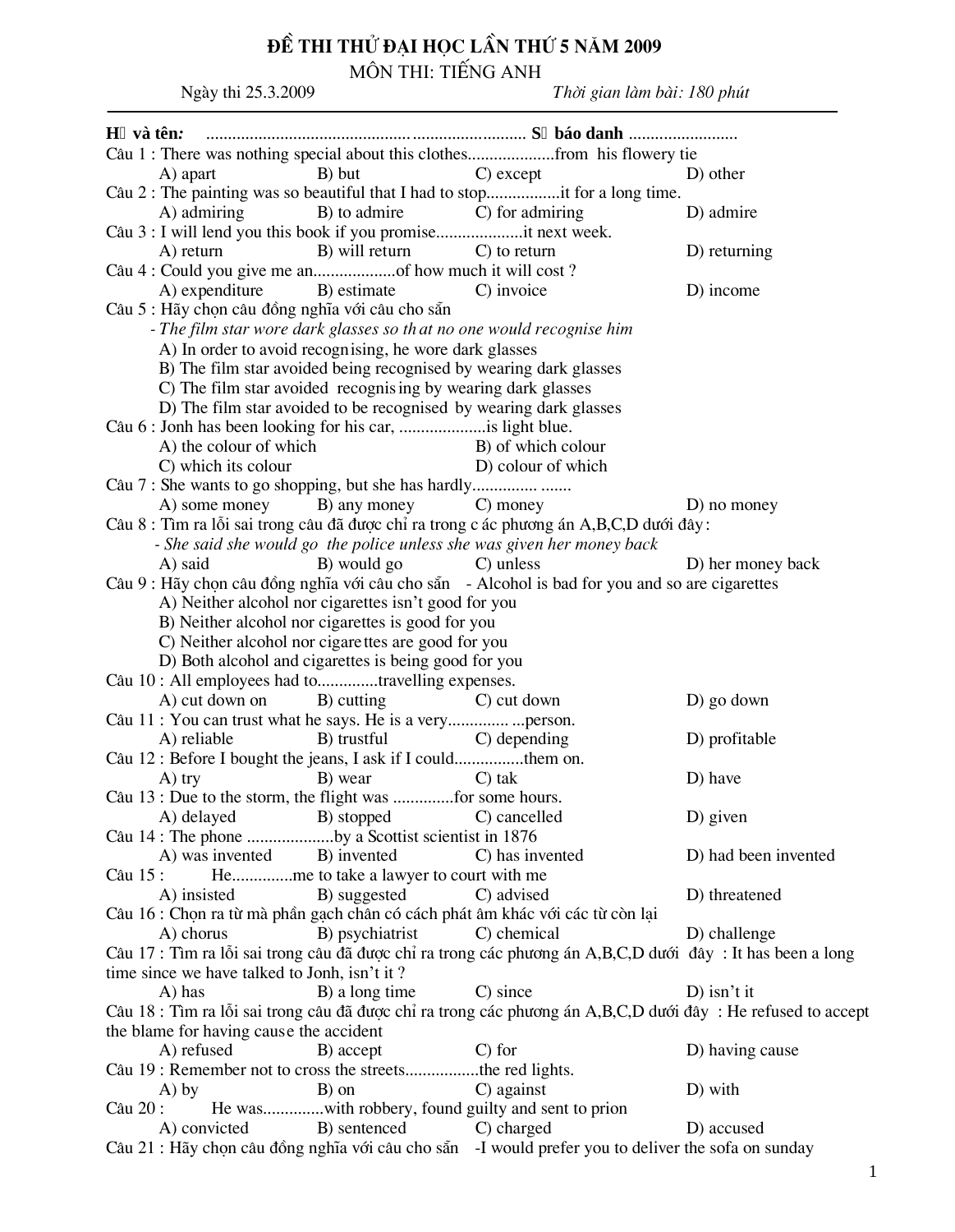## ĐỀ THI THỦ ĐẠI HỌC LẦN THỨ 5 NĂM 2009<br>MÔN THI: TIẾNG ANH

Ngày thi 25.3.2009

Thời gian làm bài: 180 phút

| H và tên:                                                                                                    |                    |                      |
|--------------------------------------------------------------------------------------------------------------|--------------------|----------------------|
| Câu 1 : There was nothing special about this clothesfrom his flowery tie                                     |                    |                      |
| A) apart<br>B) but                                                                                           | C) except          | D) other             |
| Câu 2 : The painting was so beautiful that I had to stopit for a long time.                                  |                    |                      |
| B) to admire<br>A) admiring                                                                                  | C) for admiring    | D) admire            |
| Câu 3 : I will lend you this book if you promiseit next week.                                                |                    |                      |
| B) will return C) to return<br>A) return                                                                     |                    | D) returning         |
|                                                                                                              |                    |                      |
| A) expenditure<br>B) estimate                                                                                | C) invoice         | D) income            |
| Câu 5 : Hãy chọn câu đồng nghĩa với câu cho sẵn                                                              |                    |                      |
| - The film star wore dark glasses so that no one would recognise him                                         |                    |                      |
| A) In order to avoid recognising, he wore dark glasses                                                       |                    |                      |
| B) The film star avoided being recognised by wearing dark glasses                                            |                    |                      |
| C) The film star avoided recognising by wearing dark glasses                                                 |                    |                      |
| D) The film star avoided to be recognised by wearing dark glasses                                            |                    |                      |
|                                                                                                              |                    |                      |
| A) the colour of which                                                                                       | B) of which colour |                      |
| C) which its colour                                                                                          | D) colour of which |                      |
|                                                                                                              |                    |                      |
| A) some money<br>B) any money                                                                                | C) money           | D) no money          |
| Câu 8 : Tìm ra lỗi sai trong câu đã được chỉ ra trong các phương án A,B,C,D dưới đây :                       |                    |                      |
|                                                                                                              |                    |                      |
| - She said she would go the police unless she was given her money back                                       |                    |                      |
| B) would go<br>A) said                                                                                       | C) unless          | D) her money back    |
| Câu 9 : Hãy chọn câu đồng nghĩa với câu cho sẵn - Alcohol is bad for you and so are cigarettes               |                    |                      |
| A) Neither alcohol nor cigarettes isn't good for you                                                         |                    |                      |
| B) Neither alcohol nor cigarettes is good for you                                                            |                    |                      |
| C) Neither alcohol nor cigarettes are good for you                                                           |                    |                      |
| D) Both alcohol and cigarettes is being good for you                                                         |                    |                      |
| Câu 10 : All employees had totravelling expenses.                                                            |                    |                      |
| A) cut down on<br>B) cutting                                                                                 | C) cut down        | D) go down           |
|                                                                                                              |                    |                      |
| B) trustful<br>A) reliable                                                                                   | C) depending       | D) profitable        |
| Câu 12 : Before I bought the jeans, I ask if I couldthem on.                                                 |                    |                      |
| B) wear<br>$A)$ try                                                                                          | $C$ ) tak          | D) have              |
| Câu 13 : Due to the storm, the flight was for some hours.                                                    |                    |                      |
| A) delayed B) stopped                                                                                        | C) cancelled       | D) given             |
| Câu 14 : The phone by a Scottist scientist in 1876                                                           |                    |                      |
| A) was invented B) invented                                                                                  | C) has invented    | D) had been invented |
| Heme to take a lawyer to court with me<br>Câu 15 :                                                           |                    |                      |
| B) suggested<br>A) insisted                                                                                  | C) advised         | D) threatened        |
| Câu 16 : Chọn ra từ mà phần gạch chân có cách phát âm khác với các từ còn lại                                |                    |                      |
| B) psychiatrist C) chemical<br>A) chorus                                                                     |                    | D) challenge         |
| Câu 17 : Tìm ra lỗi sai trong câu đã được chỉ ra trong các phương án A,B,C,D dưới đây : It has been a long   |                    |                      |
| time since we have talked to Jonh, isn't it?                                                                 |                    |                      |
| A) has<br>B) a long time                                                                                     | C) since           | $D$ ) isn't it       |
| Câu 18 : Tìm ra lỗi sai trong câu đã được chỉ ra trong các phương án A,B,C,D dưới đây : He refused to accept |                    |                      |
| the blame for having cause the accident                                                                      |                    |                      |
| A) refused<br>B) accept                                                                                      | $C$ ) for          | D) having cause      |
| Câu 19 : Remember not to cross the streetsthe red lights.                                                    |                    |                      |
| B) on<br>A) by                                                                                               | C) against         | D) with              |
| He waswith robbery, found guilty and sent to prion<br>Câu 20 :                                               |                    |                      |
| B) sentenced<br>A) convicted                                                                                 | C) charged         | D) accused           |
| Câu 21 : Hãy chọn câu đồng nghĩa với câu cho sẵn -I would prefer you to deliver the sofa on sunday           |                    |                      |
|                                                                                                              |                    |                      |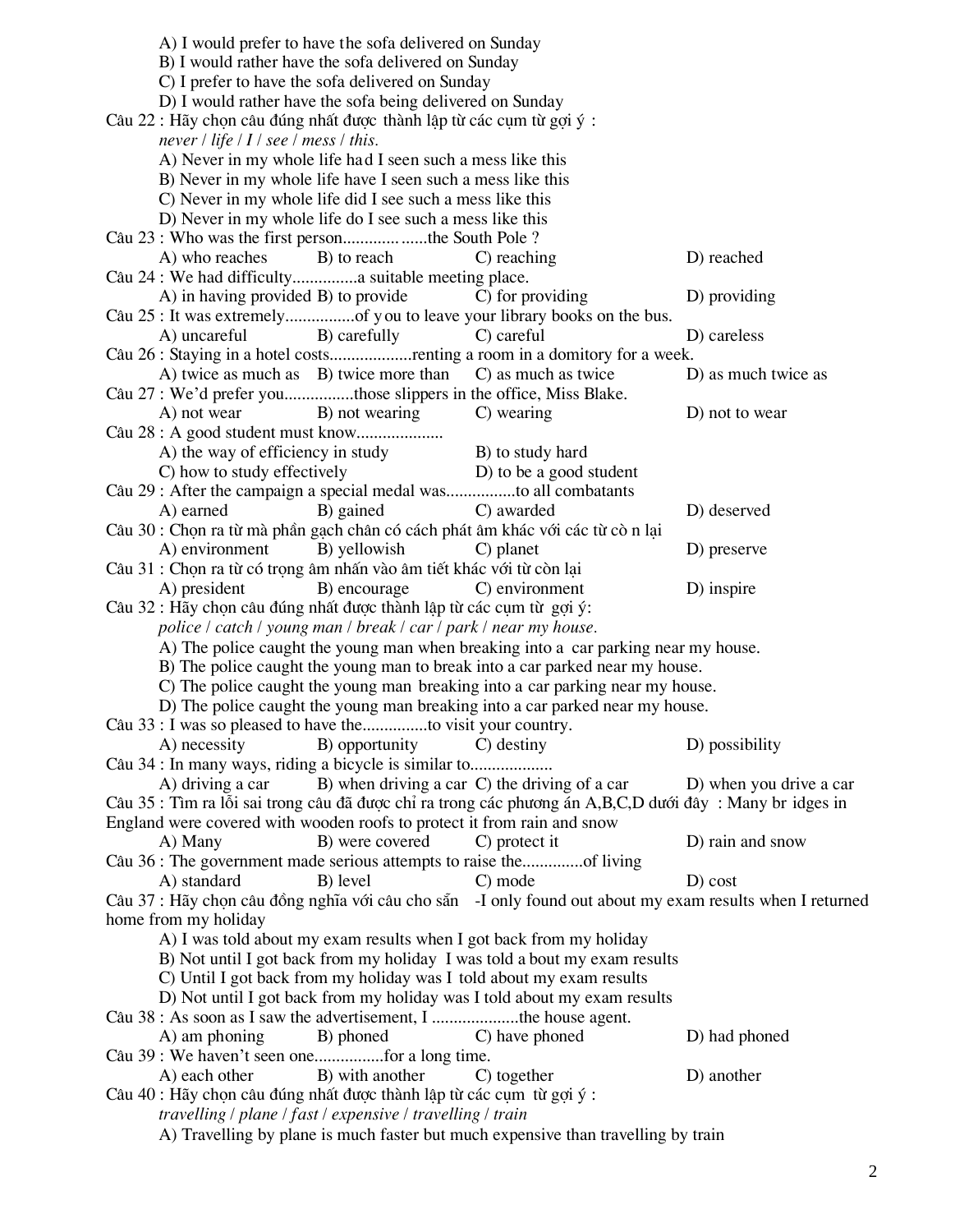|                                                                                                                                                  |                                                            | A) I would prefer to have the sofa delivered on Sunday<br>B) I would rather have the sofa delivered on Sunday<br>C) I prefer to have the sofa delivered on Sunday<br>D) I would rather have the sofa being delivered on Sunday<br>Câu 22 : Hãy chọn câu đúng nhất được thành lập từ các cụm từ gọi ý : |                                                                                                          |                         |  |  |
|--------------------------------------------------------------------------------------------------------------------------------------------------|------------------------------------------------------------|--------------------------------------------------------------------------------------------------------------------------------------------------------------------------------------------------------------------------------------------------------------------------------------------------------|----------------------------------------------------------------------------------------------------------|-------------------------|--|--|
|                                                                                                                                                  | never / life / $I$ / see / mess / this.                    | A) Never in my whole life had I seen such a mess like this<br>B) Never in my whole life have I seen such a mess like this<br>C) Never in my whole life did I see such a mess like this                                                                                                                 |                                                                                                          |                         |  |  |
|                                                                                                                                                  |                                                            | D) Never in my whole life do I see such a mess like this                                                                                                                                                                                                                                               |                                                                                                          |                         |  |  |
|                                                                                                                                                  |                                                            | Câu 23 : Who was the first personthe South Pole ?                                                                                                                                                                                                                                                      |                                                                                                          |                         |  |  |
|                                                                                                                                                  | A) who reaches                                             | B) to reach                                                                                                                                                                                                                                                                                            | C) reaching                                                                                              | D) reached              |  |  |
|                                                                                                                                                  |                                                            | Câu 24 : We had difficulty suitable meeting place.                                                                                                                                                                                                                                                     |                                                                                                          |                         |  |  |
|                                                                                                                                                  | A) in having provided B) to provide                        |                                                                                                                                                                                                                                                                                                        | C) for providing                                                                                         | D) providing            |  |  |
|                                                                                                                                                  |                                                            |                                                                                                                                                                                                                                                                                                        | Câu 25 : It was extremelyof you to leave your library books on the bus.                                  |                         |  |  |
|                                                                                                                                                  | A) uncareful                                               | B) carefully                                                                                                                                                                                                                                                                                           | C) careful                                                                                               | D) careless             |  |  |
|                                                                                                                                                  |                                                            |                                                                                                                                                                                                                                                                                                        | Câu 26 : Staying in a hotel costsrenting a room in a domitory for a week.                                |                         |  |  |
|                                                                                                                                                  |                                                            | A) twice as much as B) twice more than C) as much as twice                                                                                                                                                                                                                                             |                                                                                                          |                         |  |  |
|                                                                                                                                                  |                                                            |                                                                                                                                                                                                                                                                                                        |                                                                                                          | D) as much twice as     |  |  |
|                                                                                                                                                  |                                                            | Câu 27 : We'd prefer youthose slippers in the office, Miss Blake.                                                                                                                                                                                                                                      |                                                                                                          |                         |  |  |
|                                                                                                                                                  | A) not wear                                                | B) not wearing                                                                                                                                                                                                                                                                                         | C) wearing                                                                                               | D) not to wear          |  |  |
|                                                                                                                                                  |                                                            |                                                                                                                                                                                                                                                                                                        |                                                                                                          |                         |  |  |
|                                                                                                                                                  |                                                            | A) the way of efficiency in study                                                                                                                                                                                                                                                                      | B) to study hard                                                                                         |                         |  |  |
|                                                                                                                                                  | C) how to study effectively                                |                                                                                                                                                                                                                                                                                                        | D) to be a good student                                                                                  |                         |  |  |
|                                                                                                                                                  |                                                            |                                                                                                                                                                                                                                                                                                        | Câu 29 : After the campaign a special medal wasto all combatants                                         |                         |  |  |
|                                                                                                                                                  | A) earned                                                  | B) gained                                                                                                                                                                                                                                                                                              | C) awarded                                                                                               | D) deserved             |  |  |
|                                                                                                                                                  |                                                            |                                                                                                                                                                                                                                                                                                        | Câu 30 : Chọn ra từ mà phần gạch chân có cách phát âm khác với các từ cò n lại                           |                         |  |  |
|                                                                                                                                                  | A) environment                                             | B) yellowish                                                                                                                                                                                                                                                                                           | C) planet                                                                                                | D) preserve             |  |  |
|                                                                                                                                                  |                                                            | Câu 31 : Chọn ra từ có trọng âm nhấn vào âm tiết khác với từ còn lại                                                                                                                                                                                                                                   |                                                                                                          |                         |  |  |
|                                                                                                                                                  | A) president                                               | B) encourage                                                                                                                                                                                                                                                                                           | C) environment                                                                                           | D) inspire              |  |  |
|                                                                                                                                                  |                                                            | Câu 32 : Hãy chọn câu đúng nhất được thành lập từ các cụm từ gọi ý:                                                                                                                                                                                                                                    |                                                                                                          |                         |  |  |
|                                                                                                                                                  |                                                            | police / catch / young man / break / car / park / near my house.                                                                                                                                                                                                                                       |                                                                                                          |                         |  |  |
|                                                                                                                                                  |                                                            |                                                                                                                                                                                                                                                                                                        | A) The police caught the young man when breaking into a car parking near my house.                       |                         |  |  |
|                                                                                                                                                  |                                                            |                                                                                                                                                                                                                                                                                                        | B) The police caught the young man to break into a car parked near my house.                             |                         |  |  |
|                                                                                                                                                  |                                                            |                                                                                                                                                                                                                                                                                                        | C) The police caught the young man breaking into a car parking near my house.                            |                         |  |  |
|                                                                                                                                                  |                                                            |                                                                                                                                                                                                                                                                                                        | D) The police caught the young man breaking into a car parked near my house.                             |                         |  |  |
|                                                                                                                                                  |                                                            | Câu 33 : I was so pleased to have theto visit your country.                                                                                                                                                                                                                                            |                                                                                                          |                         |  |  |
|                                                                                                                                                  | A) necessity                                               | B) opportunity                                                                                                                                                                                                                                                                                         | C) destiny                                                                                               | D) possibility          |  |  |
|                                                                                                                                                  |                                                            | Câu 34 : In many ways, riding a bicycle is similar to                                                                                                                                                                                                                                                  |                                                                                                          |                         |  |  |
|                                                                                                                                                  |                                                            |                                                                                                                                                                                                                                                                                                        | A) driving a car B) when driving a car C) the driving of a car                                           | D) when you drive a car |  |  |
|                                                                                                                                                  |                                                            |                                                                                                                                                                                                                                                                                                        | Câu 35 : Tìm ra lỗi sai trong câu đã được chỉ ra trong các phương án A,B,C,D dưới đây : Many br idges in |                         |  |  |
|                                                                                                                                                  |                                                            | England were covered with wooden roofs to protect it from rain and snow                                                                                                                                                                                                                                |                                                                                                          |                         |  |  |
|                                                                                                                                                  | A) Many                                                    | B) were covered                                                                                                                                                                                                                                                                                        | C) protect it                                                                                            | D) rain and snow        |  |  |
|                                                                                                                                                  |                                                            |                                                                                                                                                                                                                                                                                                        | Câu 36 : The government made serious attempts to raise theof living                                      |                         |  |  |
|                                                                                                                                                  | A) standard                                                | B) level                                                                                                                                                                                                                                                                                               | C) mode                                                                                                  | $D)$ cost               |  |  |
|                                                                                                                                                  |                                                            |                                                                                                                                                                                                                                                                                                        | Câu 37 : Hãy chọn câu đồng nghĩa với câu cho sẵn -I only found out about my exam results when I returned |                         |  |  |
|                                                                                                                                                  | home from my holiday                                       |                                                                                                                                                                                                                                                                                                        |                                                                                                          |                         |  |  |
|                                                                                                                                                  |                                                            |                                                                                                                                                                                                                                                                                                        | A) I was told about my exam results when I got back from my holiday                                      |                         |  |  |
|                                                                                                                                                  |                                                            |                                                                                                                                                                                                                                                                                                        |                                                                                                          |                         |  |  |
| B) Not until I got back from my holiday I was told a bout my exam results                                                                        |                                                            |                                                                                                                                                                                                                                                                                                        |                                                                                                          |                         |  |  |
| C) Until I got back from my holiday was I told about my exam results<br>D) Not until I got back from my holiday was I told about my exam results |                                                            |                                                                                                                                                                                                                                                                                                        |                                                                                                          |                         |  |  |
|                                                                                                                                                  |                                                            |                                                                                                                                                                                                                                                                                                        |                                                                                                          |                         |  |  |
|                                                                                                                                                  |                                                            |                                                                                                                                                                                                                                                                                                        | Câu 38 : As soon as I saw the advertisement, I the house agent.                                          |                         |  |  |
|                                                                                                                                                  | A) am phoning                                              | B) phoned                                                                                                                                                                                                                                                                                              | C) have phoned                                                                                           | D) had phoned           |  |  |
|                                                                                                                                                  |                                                            |                                                                                                                                                                                                                                                                                                        |                                                                                                          |                         |  |  |
|                                                                                                                                                  | A) each other                                              | B) with another                                                                                                                                                                                                                                                                                        | C) together                                                                                              | D) another              |  |  |
| Câu 40 : Hãy chọn câu đúng nhất được thành lập từ các cụm từ gọi ý :                                                                             |                                                            |                                                                                                                                                                                                                                                                                                        |                                                                                                          |                         |  |  |
|                                                                                                                                                  | travelling / plane / fast / expensive / travelling / train |                                                                                                                                                                                                                                                                                                        |                                                                                                          |                         |  |  |
| A) Travelling by plane is much faster but much expensive than travelling by train                                                                |                                                            |                                                                                                                                                                                                                                                                                                        |                                                                                                          |                         |  |  |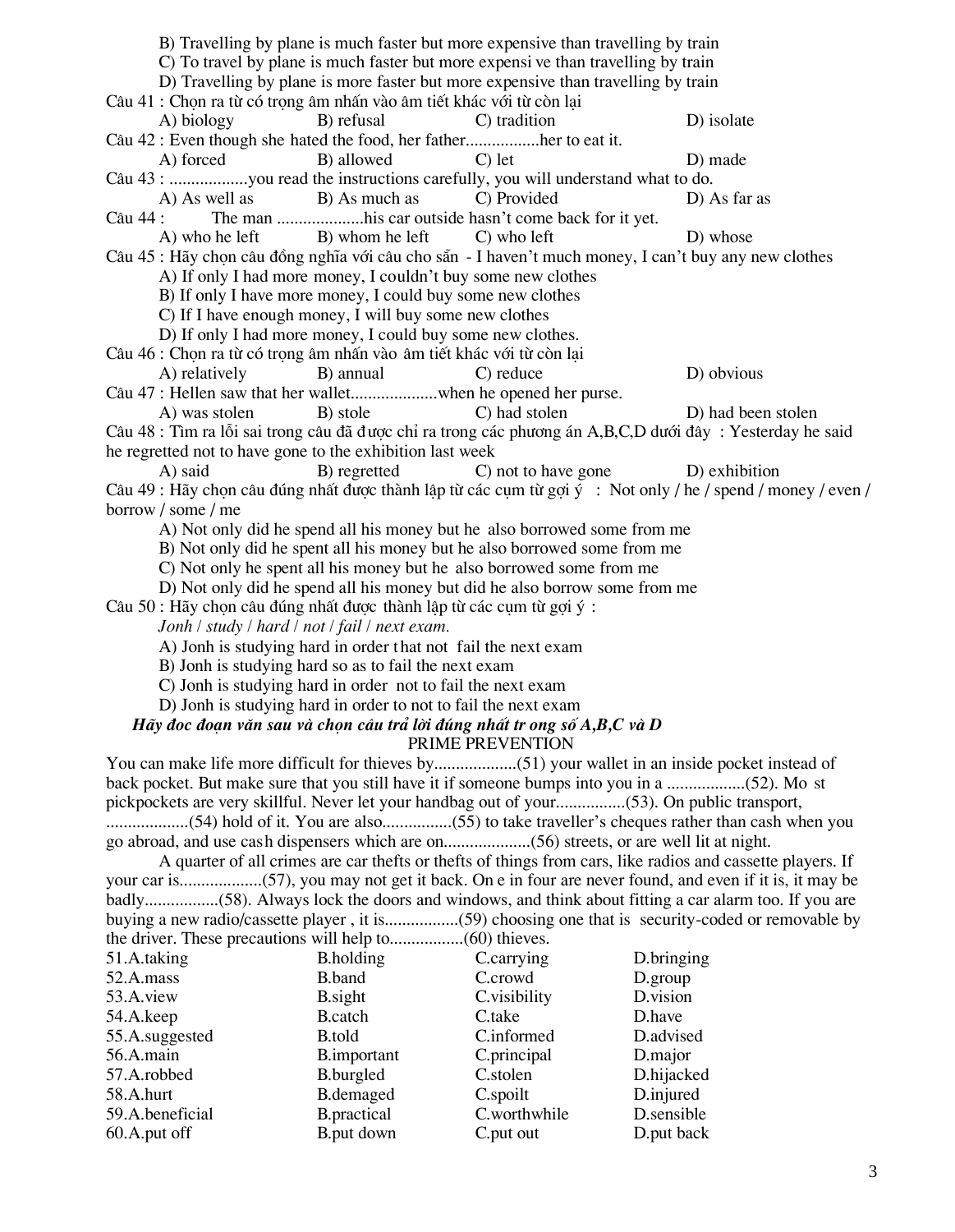| B) Travelling by plane is much faster but more expensive than travelling by train                          |                                                                                   |                     |                                                                                                             |  |  |  |  |
|------------------------------------------------------------------------------------------------------------|-----------------------------------------------------------------------------------|---------------------|-------------------------------------------------------------------------------------------------------------|--|--|--|--|
|                                                                                                            | C) To travel by plane is much faster but more expensive than travelling by train  |                     |                                                                                                             |  |  |  |  |
|                                                                                                            | D) Travelling by plane is more faster but more expensive than travelling by train |                     |                                                                                                             |  |  |  |  |
| Câu 41 : Chọn ra từ có trọng âm nhấn vào âm tiết khác với từ còn lại                                       |                                                                                   |                     |                                                                                                             |  |  |  |  |
| A) biology                                                                                                 | B) refusal                                                                        | C) tradition        | D) isolate                                                                                                  |  |  |  |  |
| Câu 42 : Even though she hated the food, her fatherher to eat it.                                          |                                                                                   |                     |                                                                                                             |  |  |  |  |
| A) forced                                                                                                  | B) allowed                                                                        | $C$ ) let           | D) made                                                                                                     |  |  |  |  |
| Câu 43 : you read the instructions carefully, you will understand what to do.                              |                                                                                   |                     |                                                                                                             |  |  |  |  |
| A) As well as                                                                                              | B) As much as                                                                     | C) Provided         | D) As far as                                                                                                |  |  |  |  |
| Câu 44 :                                                                                                   | The man his car outside hasn't come back for it yet.                              |                     |                                                                                                             |  |  |  |  |
| A) who he left                                                                                             | B) whom he left                                                                   | C) who left         | D) whose                                                                                                    |  |  |  |  |
|                                                                                                            |                                                                                   |                     | Câu 45 : Hãy chọn câu đồng nghĩa với câu cho sẵn - I haven't much money, I can't buy any new clothes        |  |  |  |  |
|                                                                                                            | A) If only I had more money, I couldn't buy some new clothes                      |                     |                                                                                                             |  |  |  |  |
|                                                                                                            | B) If only I have more money, I could buy some new clothes                        |                     |                                                                                                             |  |  |  |  |
|                                                                                                            | C) If I have enough money, I will buy some new clothes                            |                     |                                                                                                             |  |  |  |  |
|                                                                                                            | D) If only I had more money, I could buy some new clothes.                        |                     |                                                                                                             |  |  |  |  |
| Câu 46 : Chọn ra từ có trọng âm nhấn vào âm tiết khác với từ còn lại                                       |                                                                                   |                     |                                                                                                             |  |  |  |  |
| A) relatively                                                                                              | B) annual                                                                         | C) reduce           | D) obvious                                                                                                  |  |  |  |  |
| Câu 47 : Hellen saw that her walletwhen he opened her purse.                                               |                                                                                   |                     |                                                                                                             |  |  |  |  |
| A) was stolen                                                                                              | B) stole                                                                          | C) had stolen       | D) had been stolen                                                                                          |  |  |  |  |
|                                                                                                            |                                                                                   |                     | Câu 48 : Tìm ra lỗi sai trong câu đã được chỉ ra trong các phương án A,B,C,D dưới đây : Yesterday he said   |  |  |  |  |
| he regretted not to have gone to the exhibition last week                                                  |                                                                                   |                     |                                                                                                             |  |  |  |  |
| A) said                                                                                                    | B) regretted                                                                      | C) not to have gone | D) exhibition                                                                                               |  |  |  |  |
|                                                                                                            |                                                                                   |                     | Câu 49 : Hãy chọn câu đúng nhất được thành lập từ các cụm từ gợi ý : Not only / he / spend / money / even / |  |  |  |  |
| borrow / some / me                                                                                         |                                                                                   |                     |                                                                                                             |  |  |  |  |
|                                                                                                            | A) Not only did he spend all his money but he also borrowed some from me          |                     |                                                                                                             |  |  |  |  |
|                                                                                                            | B) Not only did he spent all his money but he also borrowed some from me          |                     |                                                                                                             |  |  |  |  |
|                                                                                                            | C) Not only he spent all his money but he also borrowed some from me              |                     |                                                                                                             |  |  |  |  |
|                                                                                                            | D) Not only did he spend all his money but did he also borrow some from me        |                     |                                                                                                             |  |  |  |  |
| Câu 50 : Hãy chọn câu đúng nhất được thành lập từ các cụm từ gọi ý :                                       |                                                                                   |                     |                                                                                                             |  |  |  |  |
| Jonh / study / hard / not / fail / next exam.                                                              |                                                                                   |                     |                                                                                                             |  |  |  |  |
|                                                                                                            | A) Jonh is studying hard in order that not fail the next exam                     |                     |                                                                                                             |  |  |  |  |
|                                                                                                            | B) Jonh is studying hard so as to fail the next exam                              |                     |                                                                                                             |  |  |  |  |
|                                                                                                            | C) Jonh is studying hard in order not to fail the next exam                       |                     |                                                                                                             |  |  |  |  |
|                                                                                                            | D) Jonh is studying hard in order to not to fail the next exam                    |                     |                                                                                                             |  |  |  |  |
| Hãy đọc đoạn văn sau và chọn câu trả lời đúng nhất tr ong số A,B,C và D                                    |                                                                                   | PRIME PREVENTION    |                                                                                                             |  |  |  |  |
|                                                                                                            |                                                                                   |                     |                                                                                                             |  |  |  |  |
| back pocket. But make sure that you still have it if someone bumps into you in a (52). Mo st               |                                                                                   |                     |                                                                                                             |  |  |  |  |
| pickpockets are very skillful. Never let your handbag out of your(53). On public transport,                |                                                                                   |                     |                                                                                                             |  |  |  |  |
|                                                                                                            |                                                                                   |                     |                                                                                                             |  |  |  |  |
|                                                                                                            |                                                                                   |                     |                                                                                                             |  |  |  |  |
| A quarter of all crimes are car thefts or thefts of things from cars, like radios and cassette players. If |                                                                                   |                     |                                                                                                             |  |  |  |  |
|                                                                                                            |                                                                                   |                     |                                                                                                             |  |  |  |  |
|                                                                                                            |                                                                                   |                     |                                                                                                             |  |  |  |  |
|                                                                                                            |                                                                                   |                     |                                                                                                             |  |  |  |  |
|                                                                                                            |                                                                                   |                     |                                                                                                             |  |  |  |  |
| 51.A.taking                                                                                                | <b>B.holding</b>                                                                  | C.carrying          | D.bringing                                                                                                  |  |  |  |  |
| 52.A.mass                                                                                                  | B.band                                                                            | C.crowd             | D.group                                                                                                     |  |  |  |  |
| 53.A.view                                                                                                  | <b>B</b> .sight                                                                   | C.visibility        | D.vision                                                                                                    |  |  |  |  |
| 54.A.keep                                                                                                  | <b>B</b> .catch                                                                   | C.take              | D.have                                                                                                      |  |  |  |  |
| 55.A.suggested                                                                                             | <b>B</b> .told                                                                    | C.informed          | D.advised                                                                                                   |  |  |  |  |
| 56.A.main                                                                                                  | <b>B.</b> important                                                               | C.principal         | D.major                                                                                                     |  |  |  |  |
| 57.A.robbed                                                                                                | B.burgled                                                                         | C.stolen            | D.hijacked                                                                                                  |  |  |  |  |
| 58.A.hurt                                                                                                  | <b>B.demaged</b>                                                                  | C.spoilt            | D.injured                                                                                                   |  |  |  |  |
| 59.A.beneficial                                                                                            | <b>B.practical</b>                                                                | C.worthwhile        | D.sensible                                                                                                  |  |  |  |  |
| 60.A.put off                                                                                               | B.put down                                                                        | C.put out           | D.put back                                                                                                  |  |  |  |  |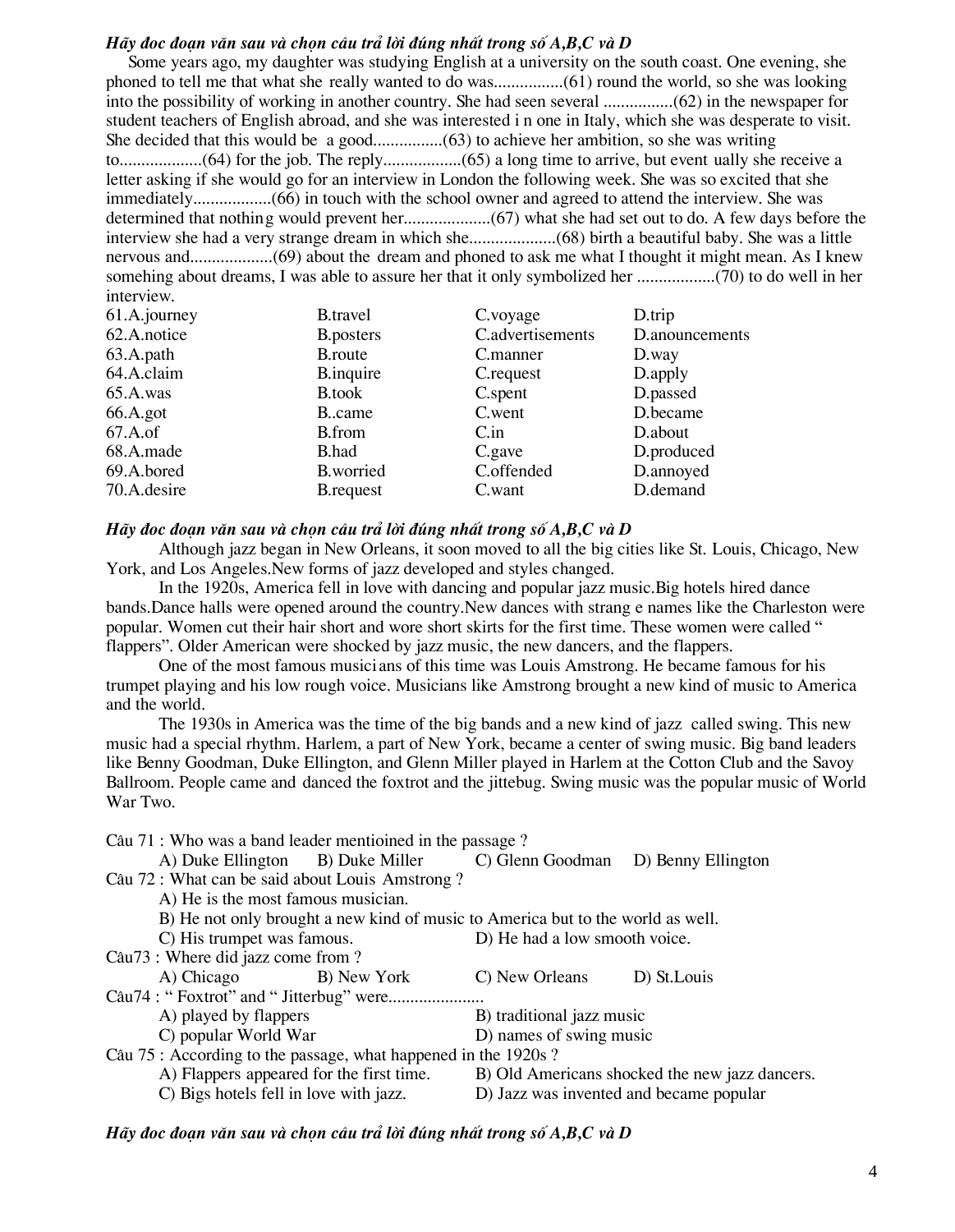## *Hãy đọc đoan văn sau và chon câu trả lời đúng nhất trong số A,B,C và D*

Some years ago, my daughter was studying English at a university on the south coast. One evening, she phoned to tell me that what she really wanted to do was................(61) round the world, so she was looking into the possibility of working in another country. She had seen several ................(62) in the newspaper for student teachers of English abroad, and she was interested i n one in Italy, which she was desperate to visit. She decided that this would be a good................(63) to achieve her ambition, so she was writing to...................(64) for the job. The reply..................(65) a long time to arrive, but event ually she receive a letter asking if she would go for an interview in London the following week. She was so excited that she immediately..................(66) in touch with the school owner and agreed to attend the interview. She was determined that nothing would prevent her....................(67) what she had set out to do. A few days before the interview she had a very strange dream in which she....................(68) birth a beautiful baby. She was a little nervous and...................(69) about the dream and phoned to ask me what I thought it might mean. As I knew somehing about dreams, I was able to assure her that it only symbolized her ..................(70) to do well in her interview.

| 61.A.journey | <b>B</b> .travel  | C.voyage         | D.trip         |
|--------------|-------------------|------------------|----------------|
| 62.A.notice  | <b>B.posters</b>  | C.advertisements | D.anouncements |
| 63.A.path    | <b>B</b> .route   | C.manner         | D.way          |
| 64.A.claim   | <b>B.</b> inquire | C.request        | D.apply        |
| 65.A.was     | <b>B</b> .took    | C.spent          | D.passed       |
| 66.A.got     | Bcame             | C.went           | D.became       |
| 67.A. of     | <b>B</b> .from    | C.in             | D.about        |
| 68.A.made    | B.had             | C.gave           | D.produced     |
| 69.A.bored   | <b>B.worried</b>  | C.offended       | D.annoyed      |
| 70.A.desire  | <b>B</b> .request | C.want           | D.demand       |

## *Hãy đoc đoan văn sau và chon câu trả lời đúng nhất trong số A,B,C và D*

Although jazz began in New Orleans, it soon moved to all the big cities like St. Louis, Chicago, New York, and Los Angeles.New forms of jazz developed and styles changed.

In the 1920s, America fell in love with dancing and popular jazz music.Big hotels hired dance bands.Dance halls were opened around the country.New dances with strang e names like the Charleston were popular. Women cut their hair short and wore short skirts for the first time. These women were called " flappers". Older American were shocked by jazz music, the new dancers, and the flappers.

One of the most famous musici ans of this time was Louis Amstrong. He became famous for his trumpet playing and his low rough voice. Musicians like Amstrong brought a new kind of music to America and the world.

The 1930s in America was the time of the big bands and a new kind of jazz called swing. This new music had a special rhythm. Harlem, a part of New York, became a center of swing music. Big band leaders like Benny Goodman, Duke Ellington, and Glenn Miller played in Harlem at the Cotton Club and the Savoy Ballroom. People came and danced the foxtrot and the jittebug. Swing music was the popular music of World War Two.

Câu 71 : Who was a band leader mentioined in the passage ?

A) Duke Ellington B) Duke Miller C) Glenn Goodman D) Benny Ellington Câu 72 : What can be said about Louis Amstrong ? A) He is the most famous musician.

B) He not only brought a new kind of music to America but to the world as well.

| C) His trumpet was famous.                                     | D) He had a low smooth voice.                  |  |  |  |  |  |
|----------------------------------------------------------------|------------------------------------------------|--|--|--|--|--|
| Câu73 : Where did jazz come from ?                             |                                                |  |  |  |  |  |
| B) New York<br>A) Chicago                                      | C) New Orleans<br>D) St. Louis                 |  |  |  |  |  |
|                                                                |                                                |  |  |  |  |  |
| A) played by flappers                                          | B) traditional jazz music                      |  |  |  |  |  |
| C) popular World War                                           | D) names of swing music                        |  |  |  |  |  |
| Câu 75 : According to the passage, what happened in the 1920s? |                                                |  |  |  |  |  |
| A) Flappers appeared for the first time.                       | B) Old Americans shocked the new jazz dancers. |  |  |  |  |  |
| C) Bigs hotels fell in love with jazz.                         | D) Jazz was invented and became popular        |  |  |  |  |  |

*Hãy đoc đoan văn sau và chon câu trả lời đúng nhất trong số A,B,C và D*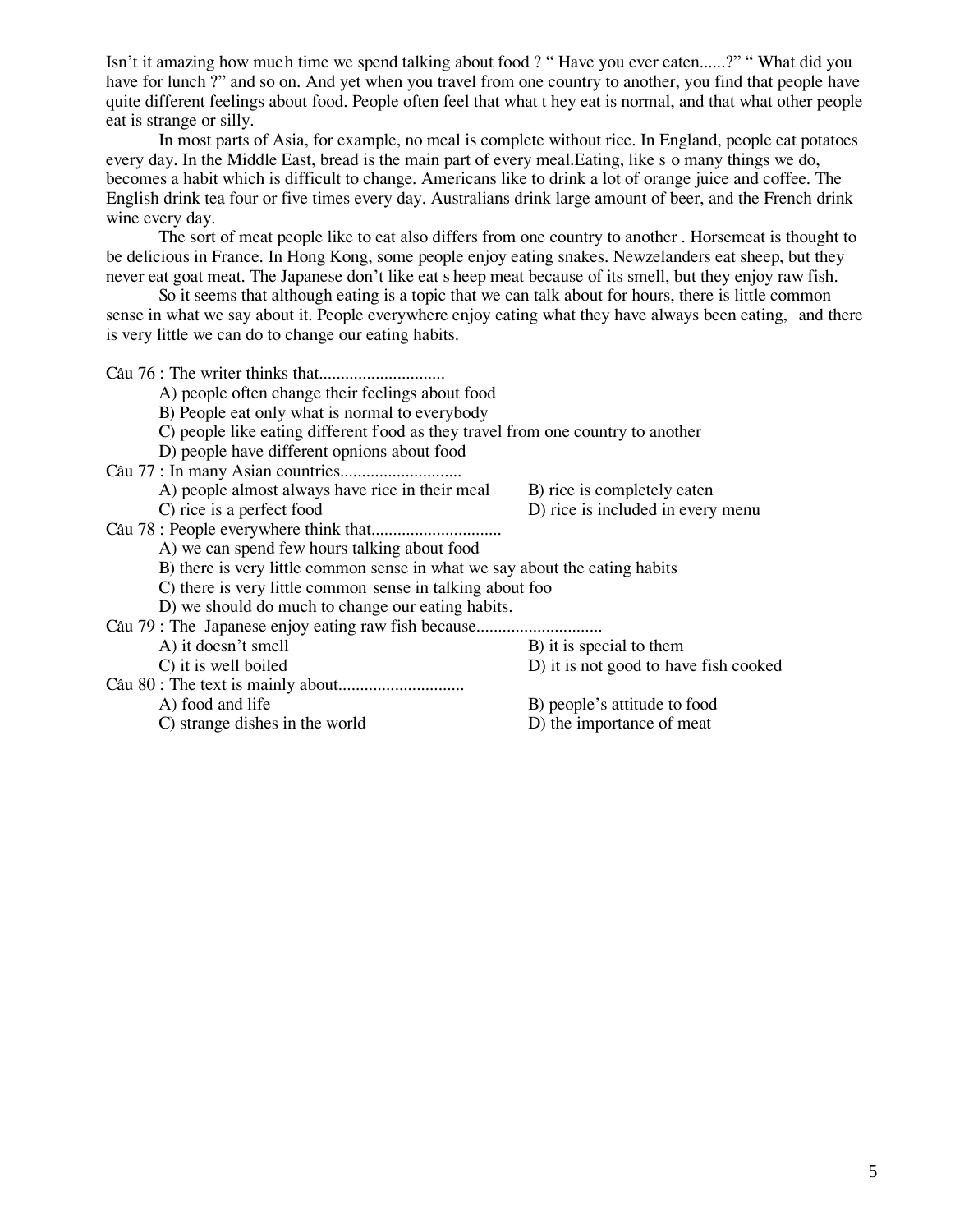Isn't it amazing how much time we spend talking about food ? " Have you ever eaten......?" " What did you have for lunch ?" and so on. And yet when you travel from one country to another, you find that people have quite different feelings about food. People often feel that what t hey eat is normal, and that what other people eat is strange or silly.

In most parts of Asia, for example, no meal is complete without rice. In England, people eat potatoes every day. In the Middle East, bread is the main part of every meal.Eating, like s o many things we do, becomes a habit which is difficult to change. Americans like to drink a lot of orange juice and coffee. The English drink tea four or five times every day. Australians drink large amount of beer, and the French drink wine every day.

The sort of meat people like to eat also differs from one country to another . Horsemeat is thought to be delicious in France. In Hong Kong, some people enjoy eating snakes. Newzelanders eat sheep, but they never eat goat meat. The Japanese don't like eat s heep meat because of its smell, but they enjoy raw fish.

So it seems that although eating is a topic that we can talk about for hours, there is little common sense in what we say about it. People everywhere enjoy eating what they have always been eating, and there is very little we can do to change our eating habits.

C©u 76 : The writer thinks that............................. A) people often change their feelings about food B) People eat only what is normal to everybody C) people like eating different food as they travel from one country to another D) people have different opnions about food C©u 77 : In many Asian countries............................ A) people almost always have rice in their meal B) rice is completely eaten C) rice is a perfect food D) rice is included in every menu C©u 78 : People everywhere think that.............................. A) we can spend few hours talking about food B) there is very little common sense in what we say about the eating habits C) there is very little common sense in talking about foo D) we should do much to change our eating habits. Câu 79 : The Japanese enjoy eating raw fish because.............................. A) it doesn't smell B) it is special to them C) it is well boiled D) it is not good to have fish cooked C©u 80 : The text is mainly about............................. A) food and life B) people's attitude to food C) strange dishes in the world D) the importance of meat